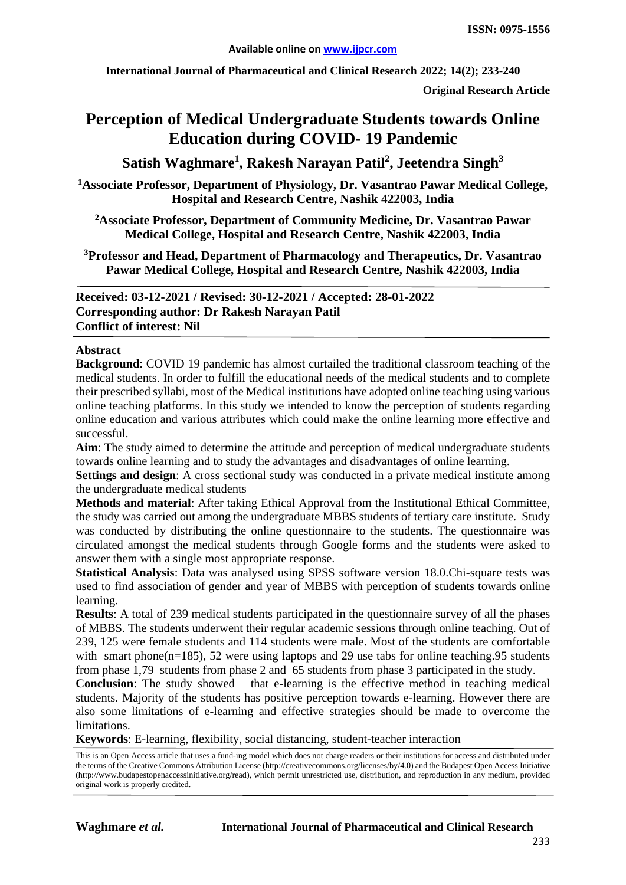**International Journal of Pharmaceutical and Clinical Research 2022; 14(2); 233-240**

**Original Research Article**

# **Perception of Medical Undergraduate Students towards Online Education during COVID- 19 Pandemic**

 $\mathbf S$ atish Waghmare<sup>1</sup>, Rakesh Narayan Patil<sup>2</sup>, Jeetendra Singh $^3$ 

**1 Associate Professor, Department of Physiology, Dr. Vasantrao Pawar Medical College, Hospital and Research Centre, Nashik 422003, India**

**2 Associate Professor, Department of Community Medicine, Dr. Vasantrao Pawar Medical College, Hospital and Research Centre, Nashik 422003, India**

**3 Professor and Head, Department of Pharmacology and Therapeutics, Dr. Vasantrao Pawar Medical College, Hospital and Research Centre, Nashik 422003, India**

**Received: 03-12-2021 / Revised: 30-12-2021 / Accepted: 28-01-2022 Corresponding author: Dr Rakesh Narayan Patil Conflict of interest: Nil**

#### **Abstract**

**Background**: COVID 19 pandemic has almost curtailed the traditional classroom teaching of the medical students. In order to fulfill the educational needs of the medical students and to complete their prescribed syllabi, most of the Medical institutions have adopted online teaching using various online teaching platforms. In this study we intended to know the perception of students regarding online education and various attributes which could make the online learning more effective and successful.

**Aim**: The study aimed to determine the attitude and perception of medical undergraduate students towards online learning and to study the advantages and disadvantages of online learning.

**Settings and design**: A cross sectional study was conducted in a private medical institute among the undergraduate medical students

**Methods and material**: After taking Ethical Approval from the Institutional Ethical Committee, the study was carried out among the undergraduate MBBS students of tertiary care institute. Study was conducted by distributing the online questionnaire to the students. The questionnaire was circulated amongst the medical students through Google forms and the students were asked to answer them with a single most appropriate response.

**Statistical Analysis**: Data was analysed using SPSS software version 18.0.Chi-square tests was used to find association of gender and year of MBBS with perception of students towards online learning.

**Results**: A total of 239 medical students participated in the questionnaire survey of all the phases of MBBS. The students underwent their regular academic sessions through online teaching. Out of 239, 125 were female students and 114 students were male. Most of the students are comfortable with smart phone( $n=185$ ), 52 were using laptops and 29 use tabs for online teaching.95 students from phase 1,79 students from phase 2 and 65 students from phase 3 participated in the study.

**Conclusion**: The study showed that e-learning is the effective method in teaching medical students. Majority of the students has positive perception towards e-learning. However there are also some limitations of e-learning and effective strategies should be made to overcome the limitations.

**Keywords**: E-learning, flexibility, social distancing, student-teacher interaction

This is an Open Access article that uses a fund-ing model which does not charge readers or their institutions for access and distributed under the terms of the Creative Commons Attribution License (http://creativecommons.org/licenses/by/4.0) and the Budapest Open Access Initiative (http://www.budapestopenaccessinitiative.org/read), which permit unrestricted use, distribution, and reproduction in any medium, provided original work is properly credited.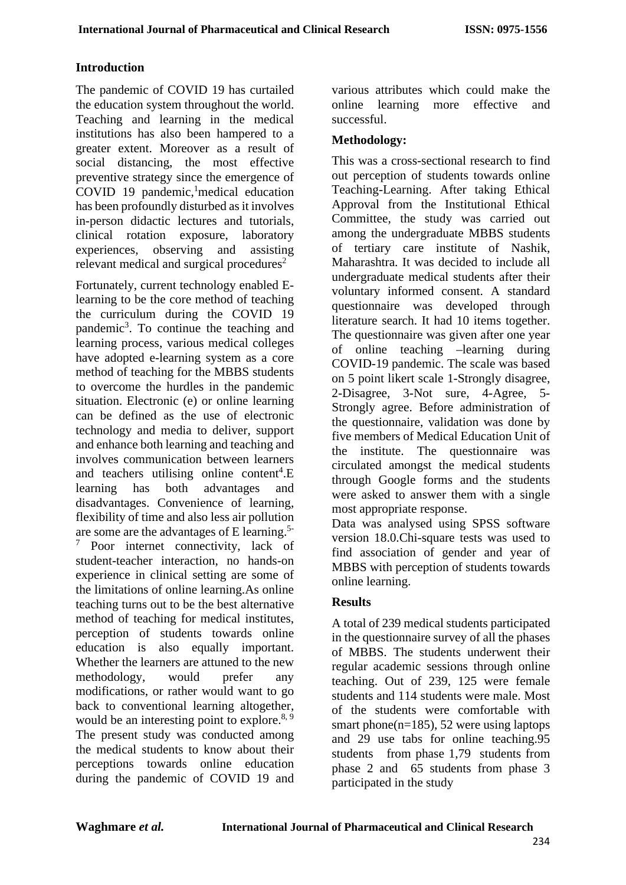#### **Introduction**

The pandemic of COVID 19 has curtailed the education system throughout the world. Teaching and learning in the medical institutions has also been hampered to a greater extent. Moreover as a result of social distancing, the most effective preventive strategy since the emergence of COVID 19 pandemic, <sup>1</sup> medical education has been profoundly disturbed as it involves in-person didactic lectures and tutorials, clinical rotation exposure, laboratory experiences, observing and assisting relevant medical and surgical procedures<sup>2</sup>

Fortunately, current technology enabled Elearning to be the core method of teaching the curriculum during the COVID 19 pandemic<sup>3</sup>. To continue the teaching and learning process, various medical colleges have adopted e-learning system as a core method of teaching for the MBBS students to overcome the hurdles in the pandemic situation. Electronic (e) or online learning can be defined as the use of electronic technology and media to deliver, support and enhance both learning and teaching and involves communication between learners and teachers utilising online content<sup>4</sup>.E learning has both advantages and disadvantages. Convenience of learning, flexibility of time and also less air pollution are some are the advantages of E learning.5- <sup>7</sup> Poor internet connectivity, lack of student-teacher interaction, no hands-on experience in clinical setting are some of the limitations of online learning.As online teaching turns out to be the best alternative method of teaching for medical institutes, perception of students towards online education is also equally important. Whether the learners are attuned to the new methodology, would prefer any modifications, or rather would want to go back to conventional learning altogether, would be an interesting point to explore.<sup>8, 9</sup> The present study was conducted among the medical students to know about their perceptions towards online education during the pandemic of COVID 19 and various attributes which could make the online learning more effective and successful.

#### **Methodology:**

This was a cross-sectional research to find out perception of students towards online Teaching-Learning. After taking Ethical Approval from the Institutional Ethical Committee, the study was carried out among the undergraduate MBBS students of tertiary care institute of Nashik, Maharashtra. It was decided to include all undergraduate medical students after their voluntary informed consent. A standard questionnaire was developed through literature search. It had 10 items together. The questionnaire was given after one year of online teaching –learning during COVID-19 pandemic. The scale was based on 5 point likert scale 1-Strongly disagree, 2-Disagree, 3-Not sure, 4-Agree, 5- Strongly agree. Before administration of the questionnaire, validation was done by five members of Medical Education Unit of the institute. The questionnaire was circulated amongst the medical students through Google forms and the students were asked to answer them with a single most appropriate response.

Data was analysed using SPSS software version 18.0.Chi-square tests was used to find association of gender and year of MBBS with perception of students towards online learning.

### **Results**

A total of 239 medical students participated in the questionnaire survey of all the phases of MBBS. The students underwent their regular academic sessions through online teaching. Out of 239, 125 were female students and 114 students were male. Most of the students were comfortable with smart phone( $n=185$ ), 52 were using laptops and 29 use tabs for online teaching.95 students from phase 1,79 students from phase 2 and 65 students from phase 3 participated in the study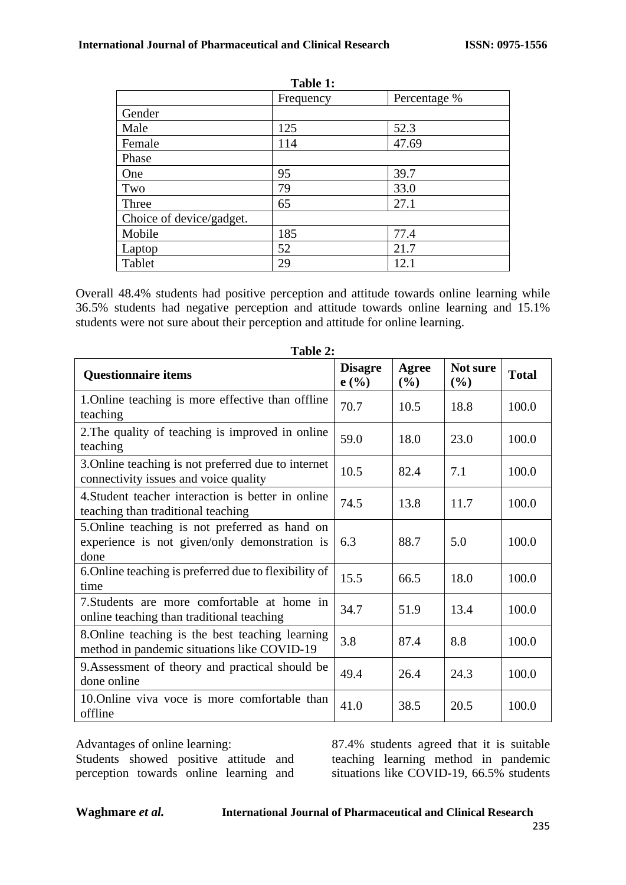| Table 1:                 |           |              |  |  |
|--------------------------|-----------|--------------|--|--|
|                          | Frequency | Percentage % |  |  |
| Gender                   |           |              |  |  |
| Male                     | 125       | 52.3         |  |  |
| Female                   | 114       | 47.69        |  |  |
| Phase                    |           |              |  |  |
| One                      | 95        | 39.7         |  |  |
| Two                      | 79        | 33.0         |  |  |
| Three                    | 65        | 27.1         |  |  |
| Choice of device/gadget. |           |              |  |  |
| Mobile                   | 185       | 77.4         |  |  |
| Laptop                   | 52        | 21.7         |  |  |
| Tablet                   | 29        | 12.1         |  |  |

Overall 48.4% students had positive perception and attitude towards online learning while 36.5% students had negative perception and attitude towards online learning and 15.1% students were not sure about their perception and attitude for online learning.

| Table 2:                                                                                                |                        |              |                    |              |  |
|---------------------------------------------------------------------------------------------------------|------------------------|--------------|--------------------|--------------|--|
| <b>Questionnaire items</b>                                                                              | <b>Disagre</b><br>e(%) | Agree<br>(%) | Not sure<br>$(\%)$ | <b>Total</b> |  |
| 1. Online teaching is more effective than offline<br>teaching                                           | 70.7                   | 10.5         | 18.8               | 100.0        |  |
| 2. The quality of teaching is improved in online<br>teaching                                            | 59.0                   | 18.0         | 23.0               | 100.0        |  |
| 3. Online teaching is not preferred due to internet<br>connectivity issues and voice quality            | 10.5                   | 82.4         | 7.1                | 100.0        |  |
| 4. Student teacher interaction is better in online<br>teaching than traditional teaching                | 74.5                   | 13.8         | 11.7               | 100.0        |  |
| 5. Online teaching is not preferred as hand on<br>experience is not given/only demonstration is<br>done | 6.3                    | 88.7         | 5.0                | 100.0        |  |
| 6. Online teaching is preferred due to flexibility of<br>time                                           | 15.5                   | 66.5         | 18.0               | 100.0        |  |
| 7. Students are more comfortable at home in<br>online teaching than traditional teaching                | 34.7                   | 51.9         | 13.4               | 100.0        |  |
| 8. Online teaching is the best teaching learning<br>method in pandemic situations like COVID-19         | 3.8                    | 87.4         | 8.8                | 100.0        |  |
| 9. Assessment of theory and practical should be<br>done online                                          | 49.4                   | 26.4         | 24.3               | 100.0        |  |
| 10. Online viva voce is more comfortable than<br>offline                                                | 41.0                   | 38.5         | 20.5               | 100.0        |  |

Advantages of online learning:

Students showed positive attitude and perception towards online learning and 87.4% students agreed that it is suitable teaching learning method in pandemic situations like COVID-19, 66.5% students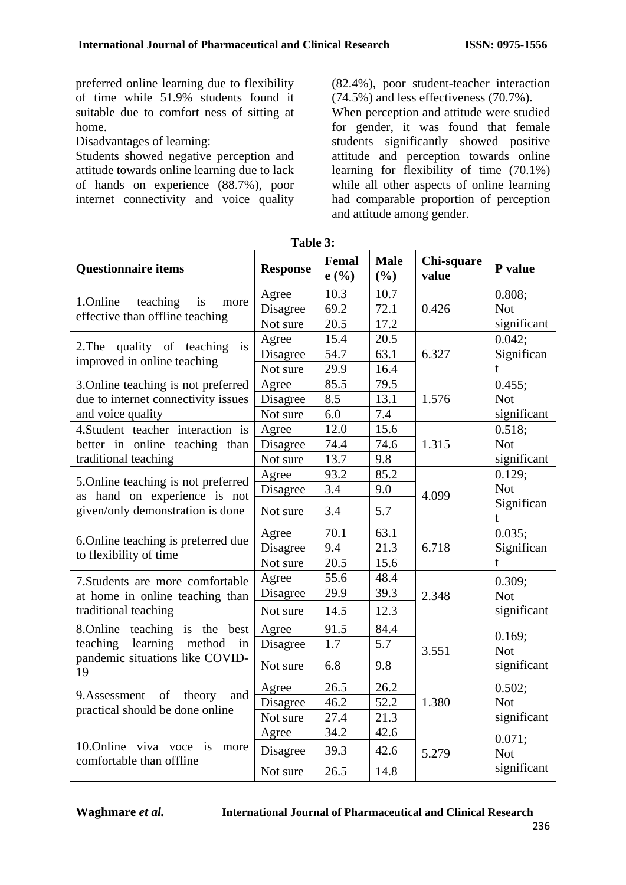preferred online learning due to flexibility of time while 51.9% students found it suitable due to comfort ness of sitting at home.

Disadvantages of learning:

Students showed negative perception and attitude towards online learning due to lack of hands on experience (88.7%), poor internet connectivity and voice quality (82.4%), poor student-teacher interaction (74.5%) and less effectiveness (70.7%).

When perception and attitude were studied for gender, it was found that female students significantly showed positive attitude and perception towards online learning for flexibility of time (70.1%) while all other aspects of online learning had comparable proportion of perception and attitude among gender.

| <b>Questionnaire items</b>                                                                                         | <b>Response</b> | Femal<br>e(%) | <b>Male</b><br>(%) | Chi-square<br>value | P value         |
|--------------------------------------------------------------------------------------------------------------------|-----------------|---------------|--------------------|---------------------|-----------------|
| 1.Online<br>teaching<br>is<br>more<br>effective than offline teaching                                              | Agree           | 10.3          | 10.7               |                     | 0.808;          |
|                                                                                                                    | Disagree        | 69.2          | 72.1               | 0.426               | <b>Not</b>      |
|                                                                                                                    | Not sure        | 20.5          | 17.2               |                     | significant     |
| quality of teaching<br>2. The<br>is<br>improved in online teaching                                                 | Agree           | 15.4          | 20.5               |                     | 0.042;          |
|                                                                                                                    | Disagree        | 54.7          | 63.1               | 6.327               | Significan      |
|                                                                                                                    | Not sure        | 29.9          | 16.4               |                     | t               |
| 3. Online teaching is not preferred                                                                                | Agree           | 85.5          | 79.5               |                     | 0.455;          |
| due to internet connectivity issues                                                                                | Disagree        | 8.5           | 13.1               | 1.576               | <b>Not</b>      |
| and voice quality                                                                                                  | Not sure        | 6.0           | 7.4                |                     | significant     |
| 4. Student teacher interaction is                                                                                  | Agree           | 12.0          | 15.6               |                     | 0.518;          |
| better in online teaching than                                                                                     | Disagree        | 74.4          | 74.6               | 1.315               | <b>Not</b>      |
| traditional teaching                                                                                               | Not sure        | 13.7          | 9.8                |                     | significant     |
| 5. Online teaching is not preferred                                                                                | Agree           | 93.2          | 85.2               |                     | 0.129;          |
| as hand on experience is not<br>given/only demonstration is done                                                   | Disagree        | 3.4           | 9.0                | 4.099               | <b>Not</b>      |
|                                                                                                                    | Not sure        | 3.4           | 5.7                |                     | Significan<br>t |
| 6. Online teaching is preferred due<br>to flexibility of time                                                      | Agree           | 70.1          | 63.1               |                     | 0.035;          |
|                                                                                                                    | Disagree        | 9.4           | 21.3               | 6.718               | Significan      |
|                                                                                                                    | Not sure        | 20.5          | 15.6               |                     | t               |
| 7. Students are more comfortable<br>at home in online teaching than<br>traditional teaching                        | Agree           | 55.6          | 48.4               |                     | 0.309;          |
|                                                                                                                    | Disagree        | 29.9          | 39.3               | 2.348               | <b>Not</b>      |
|                                                                                                                    | Not sure        | 14.5          | 12.3               |                     | significant     |
| 8. Online teaching is the<br>best<br>learning<br>teaching<br>method<br>in<br>pandemic situations like COVID-<br>19 | Agree           | 91.5          | 84.4               |                     | 0.169;          |
|                                                                                                                    | Disagree        | 1.7           | 5.7                | 3.551               | <b>Not</b>      |
|                                                                                                                    | Not sure        | 6.8           | 9.8                |                     | significant     |
| of<br>9.Assessment<br>theory<br>and<br>practical should be done online                                             | Agree           | 26.5          | 26.2               |                     | 0.502;          |
|                                                                                                                    | Disagree        | 46.2          | 52.2               | 1.380               | <b>Not</b>      |
|                                                                                                                    | Not sure        | 27.4          | 21.3               |                     | significant     |
| 10.0nline viva voce<br>is<br>more<br>comfortable than offline                                                      | Agree           | 34.2          | 42.6               |                     | 0.071;          |
|                                                                                                                    | Disagree        | 39.3          | 42.6               | 5.279               | <b>Not</b>      |
|                                                                                                                    | Not sure        | 26.5          | 14.8               |                     | significant     |

**Table 3:**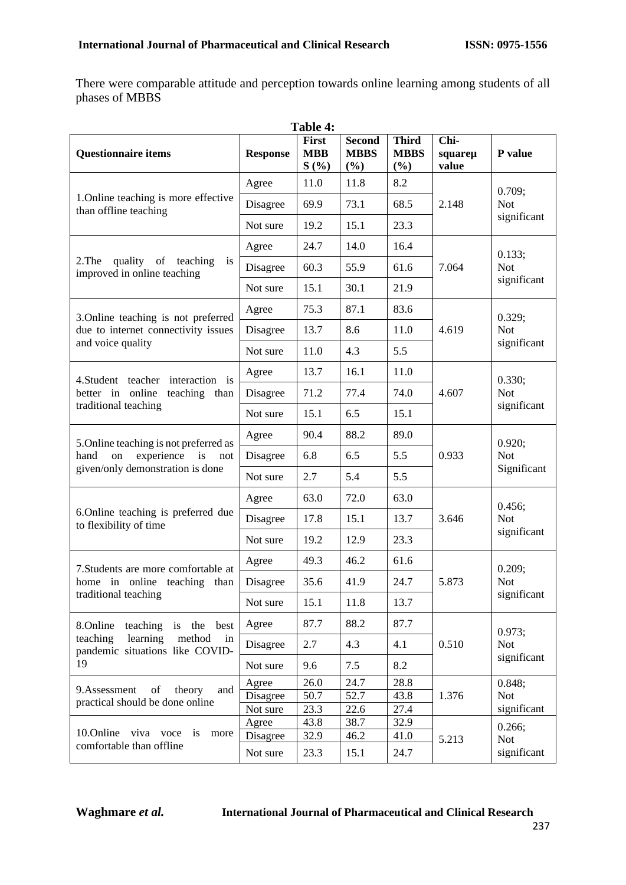There were comparable attitude and perception towards online learning among students of all phases of MBBS

| Table 4:                                                                                                          |                   |                                    |                                        |                                    |                          |                                     |
|-------------------------------------------------------------------------------------------------------------------|-------------------|------------------------------------|----------------------------------------|------------------------------------|--------------------------|-------------------------------------|
| <b>Questionnaire items</b>                                                                                        | <b>Response</b>   | <b>First</b><br><b>MBB</b><br>S(%) | <b>Second</b><br><b>MBBS</b><br>$(\%)$ | <b>Third</b><br><b>MBBS</b><br>(%) | Chi-<br>squareµ<br>value | P value                             |
| 1. Online teaching is more effective<br>than offline teaching                                                     | Agree             | 11.0                               | 11.8                                   | 8.2                                | 2.148                    | 0.709;<br><b>Not</b><br>significant |
|                                                                                                                   | Disagree          | 69.9                               | 73.1                                   | 68.5                               |                          |                                     |
|                                                                                                                   | Not sure          | 19.2                               | 15.1                                   | 23.3                               |                          |                                     |
| quality of teaching<br>2. The<br>is<br>improved in online teaching                                                | Agree             | 24.7                               | 14.0                                   | 16.4                               | 7.064                    | 0.133;<br><b>Not</b><br>significant |
|                                                                                                                   | Disagree          | 60.3                               | 55.9                                   | 61.6                               |                          |                                     |
|                                                                                                                   | Not sure          | 15.1                               | 30.1                                   | 21.9                               |                          |                                     |
|                                                                                                                   | Agree             | 75.3                               | 87.1                                   | 83.6                               |                          | 0.329;<br><b>Not</b>                |
| 3. Online teaching is not preferred<br>due to internet connectivity issues                                        | Disagree          | 13.7                               | 8.6                                    | 11.0                               | 4.619                    |                                     |
| and voice quality                                                                                                 | Not sure          | 11.0                               | 4.3                                    | 5.5                                |                          | significant                         |
| 4. Student teacher interaction is<br>better in online<br>teaching than<br>traditional teaching                    | Agree             | 13.7                               | 16.1                                   | 11.0                               |                          | 0.330;<br><b>Not</b><br>significant |
|                                                                                                                   | Disagree          | 71.2                               | 77.4                                   | 74.0                               | 4.607                    |                                     |
|                                                                                                                   | Not sure          | 15.1                               | 6.5                                    | 15.1                               |                          |                                     |
| 5. Online teaching is not preferred as<br>experience is<br>hand<br>on<br>not<br>given/only demonstration is done  | Agree             | 90.4                               | 88.2                                   | 89.0                               | 0.933                    | 0.920;<br><b>Not</b><br>Significant |
|                                                                                                                   | Disagree          | 6.8                                | 6.5                                    | 5.5                                |                          |                                     |
|                                                                                                                   | Not sure          | 2.7                                | 5.4                                    | 5.5                                |                          |                                     |
|                                                                                                                   | Agree             | 63.0                               | 72.0                                   | 63.0                               | 3.646                    | 0.456;<br><b>Not</b><br>significant |
| 6. Online teaching is preferred due<br>to flexibility of time                                                     | Disagree          | 17.8                               | 15.1                                   | 13.7                               |                          |                                     |
|                                                                                                                   | Not sure          | 19.2                               | 12.9                                   | 23.3                               |                          |                                     |
| 7. Students are more comfortable at<br>home in online teaching than<br>traditional teaching                       | Agree             | 49.3                               | 46.2                                   | 61.6                               | 5.873                    | 0.209;<br><b>Not</b><br>significant |
|                                                                                                                   | Disagree          | 35.6                               | 41.9                                   | 24.7                               |                          |                                     |
|                                                                                                                   | Not sure          | 15.1                               | 11.8                                   | 13.7                               |                          |                                     |
| 8.Online<br>teaching is the best<br>teaching<br>learning<br>method<br>in<br>pandemic situations like COVID-<br>19 | Agree             | 87.7                               | 88.2                                   | 87.7                               | 0.510                    | 0.973;<br><b>Not</b><br>significant |
|                                                                                                                   | Disagree          | 2.7                                | 4.3                                    | 4.1                                |                          |                                     |
|                                                                                                                   | Not sure          | 9.6                                | 7.5                                    | 8.2                                |                          |                                     |
| 9.Assessment<br>of<br>theory<br>and<br>practical should be done online                                            | Agree             | 26.0                               | 24.7                                   | 28.8                               | 1.376                    | 0.848;<br><b>Not</b>                |
|                                                                                                                   | Disagree          | 50.7                               | 52.7                                   | 43.8                               |                          |                                     |
|                                                                                                                   | Not sure          | 23.3                               | 22.6                                   | 27.4                               |                          | significant                         |
| 10. Online viva voce<br>is<br>more                                                                                | Agree<br>Disagree | 43.8<br>32.9                       | 38.7<br>46.2                           | 32.9<br>41.0                       |                          | 0.266;<br>Not<br>significant        |
| comfortable than offline                                                                                          | Not sure          | 23.3                               | 15.1                                   | 24.7                               | 5.213                    |                                     |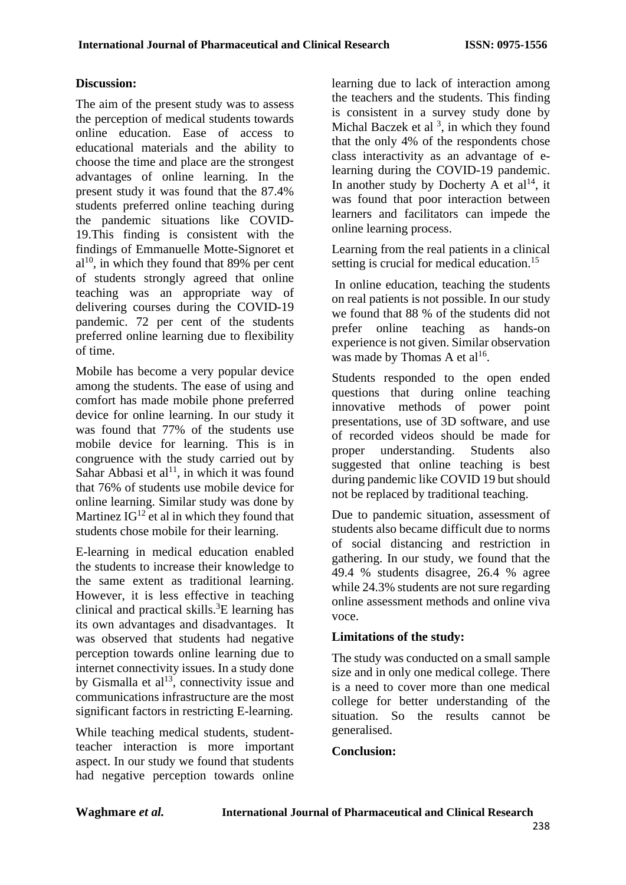### **Discussion:**

The aim of the present study was to assess the perception of medical students towards online education. Ease of access to educational materials and the ability to choose the time and place are the strongest advantages of online learning. In the present study it was found that the 87.4% students preferred online teaching during the pandemic situations like COVID-19.This finding is consistent with the findings of Emmanuelle Motte-Signoret et  $al^{10}$ , in which they found that 89% per cent of students strongly agreed that online teaching was an appropriate way of delivering courses during the COVID-19 pandemic. 72 per cent of the students preferred online learning due to flexibility of time.

Mobile has become a very popular device among the students. The ease of using and comfort has made mobile phone preferred device for online learning. In our study it was found that 77% of the students use mobile device for learning. This is in congruence with the study carried out by Sahar Abbasi et al<sup>11</sup>, in which it was found that 76% of students use mobile device for online learning. Similar study was done by Martinez  $IG^{12}$  et al in which they found that students chose mobile for their learning.

E-learning in medical education enabled the students to increase their knowledge to the same extent as traditional learning. However, it is less effective in teaching clinical and practical skills.<sup>3</sup>E learning has its own advantages and disadvantages. It was observed that students had negative perception towards online learning due to internet connectivity issues. In a study done by Gismalla et  $al<sup>13</sup>$ , connectivity issue and communications infrastructure are the most significant factors in restricting E-learning.

While teaching medical students, studentteacher interaction is more important aspect. In our study we found that students had negative perception towards online

learning due to lack of interaction among the teachers and the students. This finding is consistent in a survey study done by Michal Baczek et al  $3$ , in which they found that the only 4% of the respondents chose class interactivity as an advantage of elearning during the COVID-19 pandemic. In another study by Docherty  $\overline{A}$  et al<sup>14</sup>, it was found that poor interaction between learners and facilitators can impede the online learning process.

Learning from the real patients in a clinical setting is crucial for medical education.<sup>15</sup>

In online education, teaching the students on real patients is not possible. In our study we found that 88 % of the students did not prefer online teaching as hands-on experience is not given. Similar observation was made by Thomas A et al<sup>16</sup>.

Students responded to the open ended questions that during online teaching innovative methods of power point presentations, use of 3D software, and use of recorded videos should be made for proper understanding. Students also suggested that online teaching is best during pandemic like COVID 19 but should not be replaced by traditional teaching.

Due to pandemic situation, assessment of students also became difficult due to norms of social distancing and restriction in gathering. In our study, we found that the 49.4 % students disagree, 26.4 % agree while 24.3% students are not sure regarding online assessment methods and online viva voce.

### **Limitations of the study:**

The study was conducted on a small sample size and in only one medical college. There is a need to cover more than one medical college for better understanding of the situation. So the results cannot be generalised.

### **Conclusion:**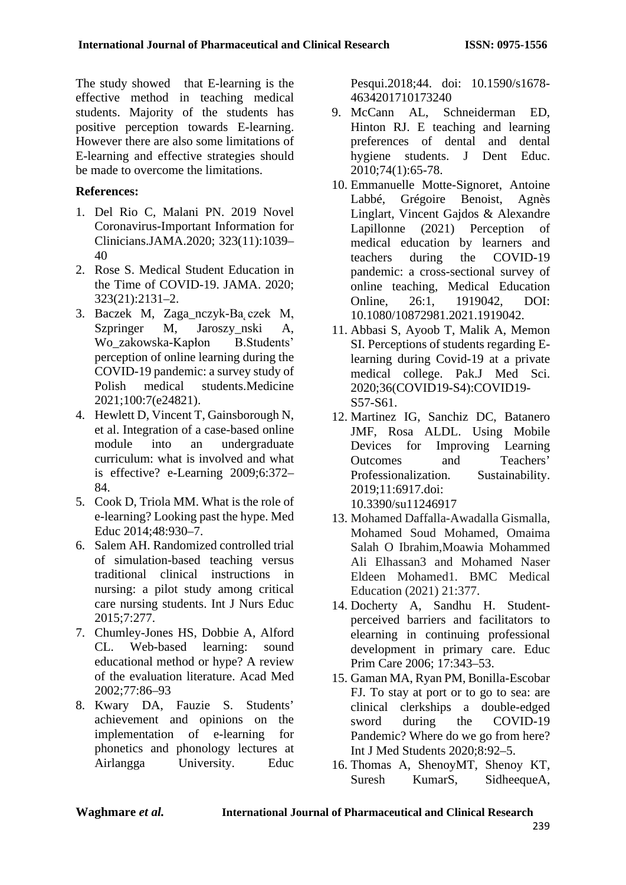The study showed that E-learning is the effective method in teaching medical students. Majority of the students has positive perception towards E-learning. However there are also some limitations of E-learning and effective strategies should be made to overcome the limitations.

## **References:**

- 1. Del Rio C, Malani PN. 2019 Novel Coronavirus-Important Information for Clinicians.JAMA.2020; 323(11):1039– 40
- 2. Rose S. Medical Student Education in the Time of COVID-19. JAMA. 2020; 323(21):2131–2.
- 3. Baczek M, Zaga\_nczyk-Ba czek M, Szpringer M, Jaroszy nski A, Wo\_zakowska-Kapłon B.Students' perception of online learning during the COVID-19 pandemic: a survey study of Polish medical students.Medicine 2021;100:7(e24821).
- 4. Hewlett D, Vincent T, Gainsborough N, et al. Integration of a case-based online module into an undergraduate curriculum: what is involved and what is effective? e-Learning 2009;6:372– 84.
- 5. Cook D, Triola MM. What is the role of e-learning? Looking past the hype. Med Educ 2014;48:930–7.
- 6. Salem AH. Randomized controlled trial of simulation-based teaching versus traditional clinical instructions in nursing: a pilot study among critical care nursing students. Int J Nurs Educ 2015;7:277.
- 7. Chumley-Jones HS, Dobbie A, Alford CL. Web-based learning: sound educational method or hype? A review of the evaluation literature. Acad Med 2002;77:86–93
- 8. Kwary DA, Fauzie S. Students' achievement and opinions on the implementation of e-learning for phonetics and phonology lectures at Airlangga University. Educ

Pesqui.2018;44. doi: 10.1590/s1678- 4634201710173240

- 9. McCann AL, Schneiderman ED, Hinton RJ. E teaching and learning preferences of dental and dental hygiene students. J Dent Educ. 2010;74(1):65-78.
- 10. Emmanuelle Motte-Signoret, Antoine Labbé, Grégoire Benoist, Agnès Linglart, Vincent Gajdos & Alexandre Lapillonne (2021) Perception of medical education by learners and teachers during the COVID-19 pandemic: a cross-sectional survey of online teaching, Medical Education Online, 26:1, 1919042, DOI: 10.1080/10872981.2021.1919042.
- 11. Abbasi S, Ayoob T, Malik A, Memon SI. Perceptions of students regarding Elearning during Covid-19 at a private medical college. Pak.J Med Sci. 2020;36(COVID19-S4):COVID19- S57-S61.
- 12. Martinez IG, Sanchiz DC, Batanero JMF, Rosa ALDL. Using Mobile Devices for Improving Learning Outcomes and Teachers' Professionalization. Sustainability. 2019;11:6917.doi: 10.3390/su11246917
- 13. Mohamed Daffalla-Awadalla Gismalla, Mohamed Soud Mohamed, Omaima Salah O Ibrahim,Moawia Mohammed Ali Elhassan3 and Mohamed Naser Eldeen Mohamed1. BMC Medical Education (2021) 21:377.
- 14. Docherty A, Sandhu H. Studentperceived barriers and facilitators to elearning in continuing professional development in primary care. Educ Prim Care 2006; 17:343–53.
- 15. Gaman MA, Ryan PM, Bonilla-Escobar FJ. To stay at port or to go to sea: are clinical clerkships a double-edged sword during the COVID-19 Pandemic? Where do we go from here? Int J Med Students 2020;8:92–5.
- 16. Thomas A, ShenoyMT, Shenoy KT, Suresh KumarS, SidheequeA,